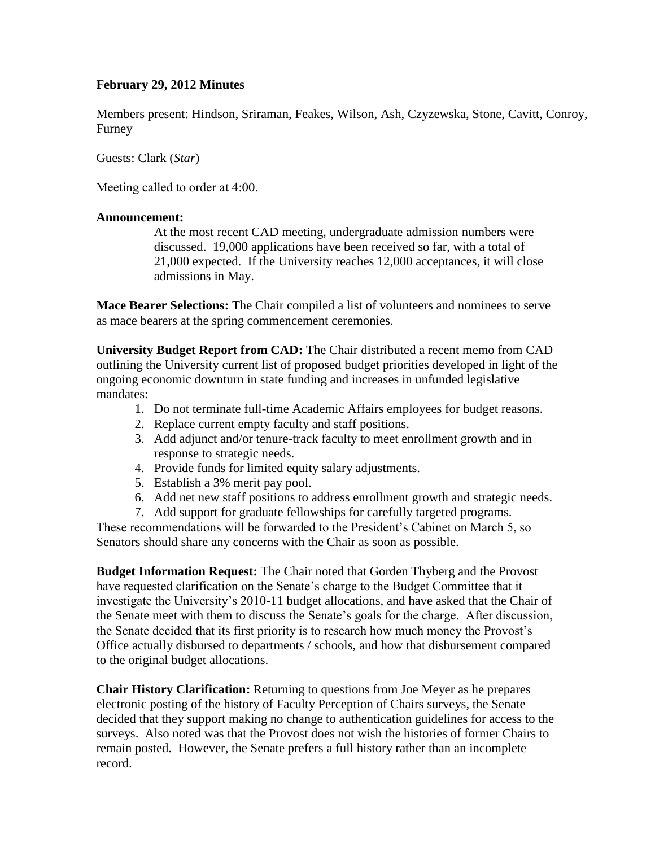# **February 29, 2012 Minutes**

Members present: Hindson, Sriraman, Feakes, Wilson, Ash, Czyzewska, Stone, Cavitt, Conroy, Furney

Guests: Clark (*Star*)

Meeting called to order at 4:00.

## **Announcement:**

At the most recent CAD meeting, undergraduate admission numbers were discussed. 19,000 applications have been received so far, with a total of 21,000 expected. If the University reaches 12,000 acceptances, it will close admissions in May.

**Mace Bearer Selections:** The Chair compiled a list of volunteers and nominees to serve as mace bearers at the spring commencement ceremonies.

**University Budget Report from CAD:** The Chair distributed a recent memo from CAD outlining the University current list of proposed budget priorities developed in light of the ongoing economic downturn in state funding and increases in unfunded legislative mandates:

- 1. Do not terminate full-time Academic Affairs employees for budget reasons.
- 2. Replace current empty faculty and staff positions.
- 3. Add adjunct and/or tenure-track faculty to meet enrollment growth and in response to strategic needs.
- 4. Provide funds for limited equity salary adjustments.
- 5. Establish a 3% merit pay pool.
- 6. Add net new staff positions to address enrollment growth and strategic needs.
- 7. Add support for graduate fellowships for carefully targeted programs.

These recommendations will be forwarded to the President's Cabinet on March 5, so Senators should share any concerns with the Chair as soon as possible.

**Budget Information Request:** The Chair noted that Gorden Thyberg and the Provost have requested clarification on the Senate's charge to the Budget Committee that it investigate the University's 2010-11 budget allocations, and have asked that the Chair of the Senate meet with them to discuss the Senate's goals for the charge. After discussion, the Senate decided that its first priority is to research how much money the Provost's Office actually disbursed to departments / schools, and how that disbursement compared to the original budget allocations.

**Chair History Clarification:** Returning to questions from Joe Meyer as he prepares electronic posting of the history of Faculty Perception of Chairs surveys, the Senate decided that they support making no change to authentication guidelines for access to the surveys. Also noted was that the Provost does not wish the histories of former Chairs to remain posted. However, the Senate prefers a full history rather than an incomplete record.